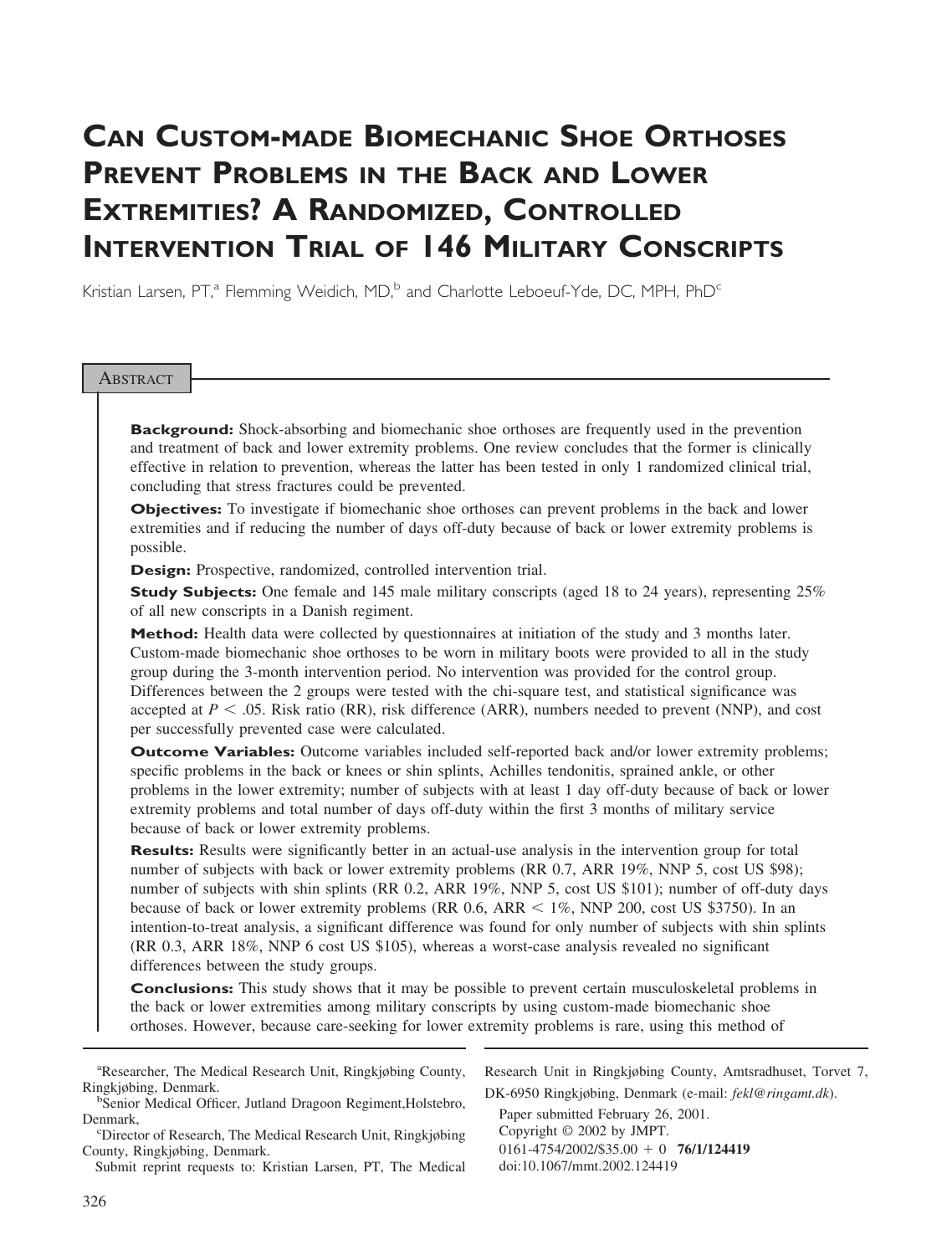# **CAN CUSTOM-MADE BIOMECHANIC SHOE ORTHOSES PREVENT PROBLEMS IN THE BACK AND LOWER EXTREMITIES? A RANDOMIZED, CONTROLLED INTERVENTION TRIAL OF 146 MILITARY CONSCRIPTS**

Kristian Larsen, PT,<sup>a</sup> Flemming Weidich, MD,<sup>b</sup> and Charlotte Leboeuf-Yde, DC, MPH, PhD<sup>c</sup>

### **ABSTRACT**

**Background:** Shock-absorbing and biomechanic shoe orthoses are frequently used in the prevention and treatment of back and lower extremity problems. One review concludes that the former is clinically effective in relation to prevention, whereas the latter has been tested in only 1 randomized clinical trial, concluding that stress fractures could be prevented.

**Objectives:** To investigate if biomechanic shoe orthoses can prevent problems in the back and lower extremities and if reducing the number of days off-duty because of back or lower extremity problems is possible.

**Design:** Prospective, randomized, controlled intervention trial.

**Study Subjects:** One female and 145 male military conscripts (aged 18 to 24 years), representing 25% of all new conscripts in a Danish regiment.

**Method:** Health data were collected by questionnaires at initiation of the study and 3 months later. Custom-made biomechanic shoe orthoses to be worn in military boots were provided to all in the study group during the 3-month intervention period. No intervention was provided for the control group. Differences between the 2 groups were tested with the chi-square test, and statistical significance was accepted at  $P < .05$ . Risk ratio (RR), risk difference (ARR), numbers needed to prevent (NNP), and cost per successfully prevented case were calculated.

**Outcome Variables:** Outcome variables included self-reported back and/or lower extremity problems; specific problems in the back or knees or shin splints, Achilles tendonitis, sprained ankle, or other problems in the lower extremity; number of subjects with at least 1 day off-duty because of back or lower extremity problems and total number of days off-duty within the first 3 months of military service because of back or lower extremity problems.

**Results:** Results were significantly better in an actual-use analysis in the intervention group for total number of subjects with back or lower extremity problems (RR 0.7, ARR 19%, NNP 5, cost US \$98); number of subjects with shin splints (RR 0.2, ARR 19%, NNP 5, cost US \$101); number of off-duty days because of back or lower extremity problems (RR  $0.6$ , ARR  $\leq 1\%$ , NNP 200, cost US \$3750). In an intention-to-treat analysis, a significant difference was found for only number of subjects with shin splints (RR 0.3, ARR 18%, NNP 6 cost US \$105), whereas a worst-case analysis revealed no significant differences between the study groups.

**Conclusions:** This study shows that it may be possible to prevent certain musculoskeletal problems in the back or lower extremities among military conscripts by using custom-made biomechanic shoe orthoses. However, because care-seeking for lower extremity problems is rare, using this method of

a Researcher, The Medical Research Unit, Ringkjøbing County, Ringkjøbing, Denmark. <sup>b</sup>

<sup>b</sup>Senior Medical Officer, Jutland Dragoon Regiment, Holstebro, Denmark,

Director of Research, The Medical Research Unit, Ringkjøbing County, Ringkjøbing, Denmark.

Submit reprint requests to: Kristian Larsen, PT, The Medical

Research Unit in Ringkjøbing County, Amtsradhuset, Torvet 7, DK-6950 Ringkjøbing, Denmark (e-mail: *fekl@ringamt.dk*).

Paper submitted February 26, 2001. Copyright © 2002 by JMPT. 0161-4754/2002/\$35.00 - 0 **76/1/124419** doi:10.1067/mmt.2002.124419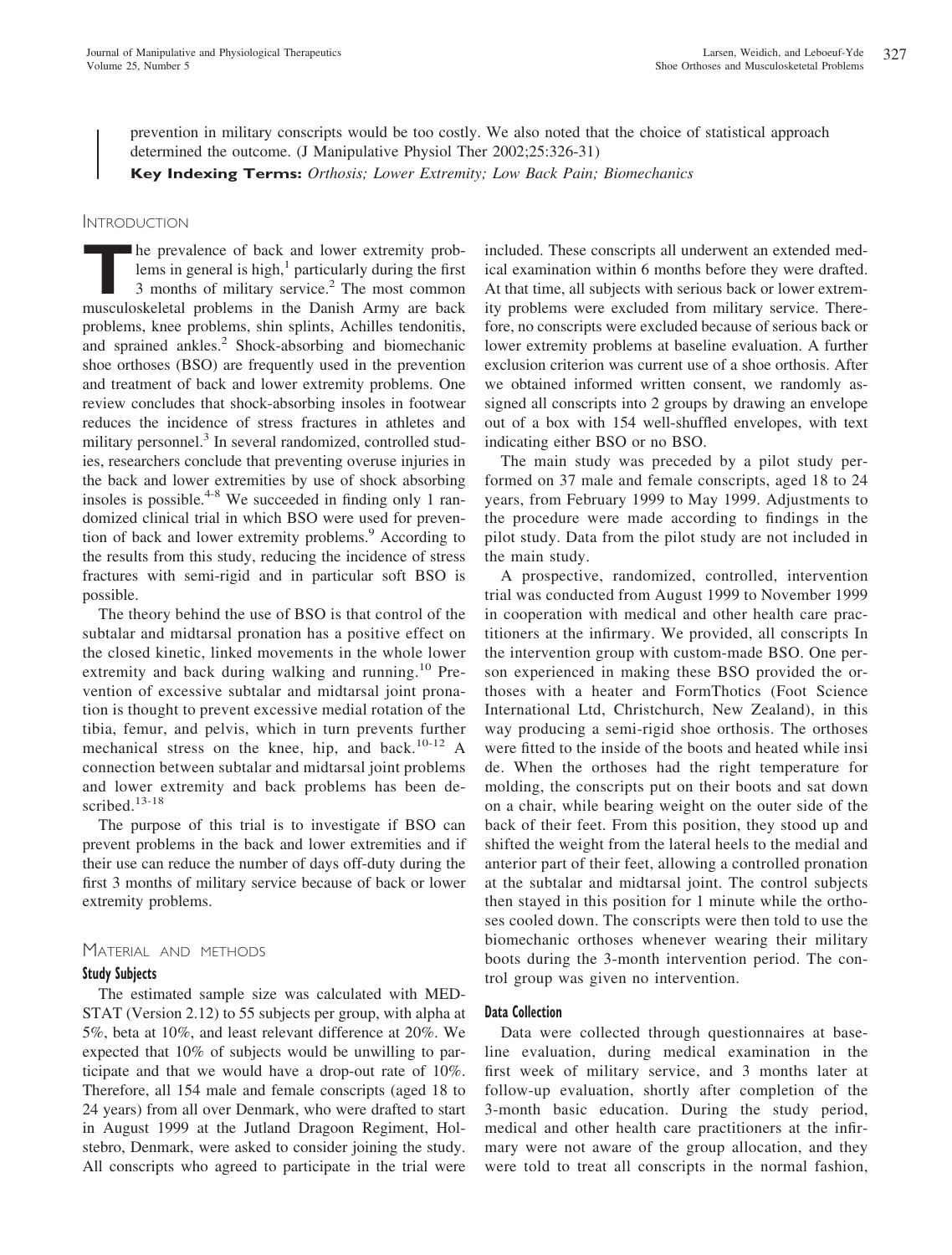prevention in military conscripts would be too costly. We also noted that the choice of statistical approach determined the outcome. (J Manipulative Physiol Ther 2002;25:326-31)

**Key Indexing Terms:** *Orthosis; Lower Extremity; Low Back Pain; Biomechanics*

# **INTRODUCTION**

**THE PREVALUATE:** The prevalence of back and lower extremity prob-<br>lems in general is high,<sup>1</sup> particularly during the first<br>3 months of military service.<sup>2</sup> The most common<br>musculoskeletal problems in the Danish Army are lems in general is high, $<sup>1</sup>$  particularly during the first</sup> 3 months of military service.<sup>2</sup> The most common musculoskeletal problems in the Danish Army are back problems, knee problems, shin splints, Achilles tendonitis, and sprained ankles.<sup>2</sup> Shock-absorbing and biomechanic shoe orthoses (BSO) are frequently used in the prevention and treatment of back and lower extremity problems. One review concludes that shock-absorbing insoles in footwear reduces the incidence of stress fractures in athletes and military personnel.<sup>3</sup> In several randomized, controlled studies, researchers conclude that preventing overuse injuries in the back and lower extremities by use of shock absorbing insoles is possible.<sup>4-8</sup> We succeeded in finding only 1 randomized clinical trial in which BSO were used for prevention of back and lower extremity problems.<sup>9</sup> According to the results from this study, reducing the incidence of stress fractures with semi-rigid and in particular soft BSO is possible.

The theory behind the use of BSO is that control of the subtalar and midtarsal pronation has a positive effect on the closed kinetic, linked movements in the whole lower extremity and back during walking and running.<sup>10</sup> Prevention of excessive subtalar and midtarsal joint pronation is thought to prevent excessive medial rotation of the tibia, femur, and pelvis, which in turn prevents further mechanical stress on the knee, hip, and back.<sup>10-12</sup> A connection between subtalar and midtarsal joint problems and lower extremity and back problems has been described. $13-18$ 

The purpose of this trial is to investigate if BSO can prevent problems in the back and lower extremities and if their use can reduce the number of days off-duty during the first 3 months of military service because of back or lower extremity problems.

# MATERIAL AND METHODS

## **Study Subjects**

The estimated sample size was calculated with MED-STAT (Version 2.12) to 55 subjects per group, with alpha at 5%, beta at 10%, and least relevant difference at 20%. We expected that 10% of subjects would be unwilling to participate and that we would have a drop-out rate of 10%. Therefore, all 154 male and female conscripts (aged 18 to 24 years) from all over Denmark, who were drafted to start in August 1999 at the Jutland Dragoon Regiment, Holstebro, Denmark, were asked to consider joining the study. All conscripts who agreed to participate in the trial were included. These conscripts all underwent an extended medical examination within 6 months before they were drafted. At that time, all subjects with serious back or lower extremity problems were excluded from military service. Therefore, no conscripts were excluded because of serious back or lower extremity problems at baseline evaluation. A further exclusion criterion was current use of a shoe orthosis. After we obtained informed written consent, we randomly assigned all conscripts into 2 groups by drawing an envelope out of a box with 154 well-shuffled envelopes, with text indicating either BSO or no BSO.

The main study was preceded by a pilot study performed on 37 male and female conscripts, aged 18 to 24 years, from February 1999 to May 1999. Adjustments to the procedure were made according to findings in the pilot study. Data from the pilot study are not included in the main study.

A prospective, randomized, controlled, intervention trial was conducted from August 1999 to November 1999 in cooperation with medical and other health care practitioners at the infirmary. We provided, all conscripts In the intervention group with custom-made BSO. One person experienced in making these BSO provided the orthoses with a heater and FormThotics (Foot Science International Ltd, Christchurch, New Zealand), in this way producing a semi-rigid shoe orthosis. The orthoses were fitted to the inside of the boots and heated while insi de. When the orthoses had the right temperature for molding, the conscripts put on their boots and sat down on a chair, while bearing weight on the outer side of the back of their feet. From this position, they stood up and shifted the weight from the lateral heels to the medial and anterior part of their feet, allowing a controlled pronation at the subtalar and midtarsal joint. The control subjects then stayed in this position for 1 minute while the orthoses cooled down. The conscripts were then told to use the biomechanic orthoses whenever wearing their military boots during the 3-month intervention period. The control group was given no intervention.

## **Data Collection**

Data were collected through questionnaires at baseline evaluation, during medical examination in the first week of military service, and 3 months later at follow-up evaluation, shortly after completion of the 3-month basic education. During the study period, medical and other health care practitioners at the infirmary were not aware of the group allocation, and they were told to treat all conscripts in the normal fashion,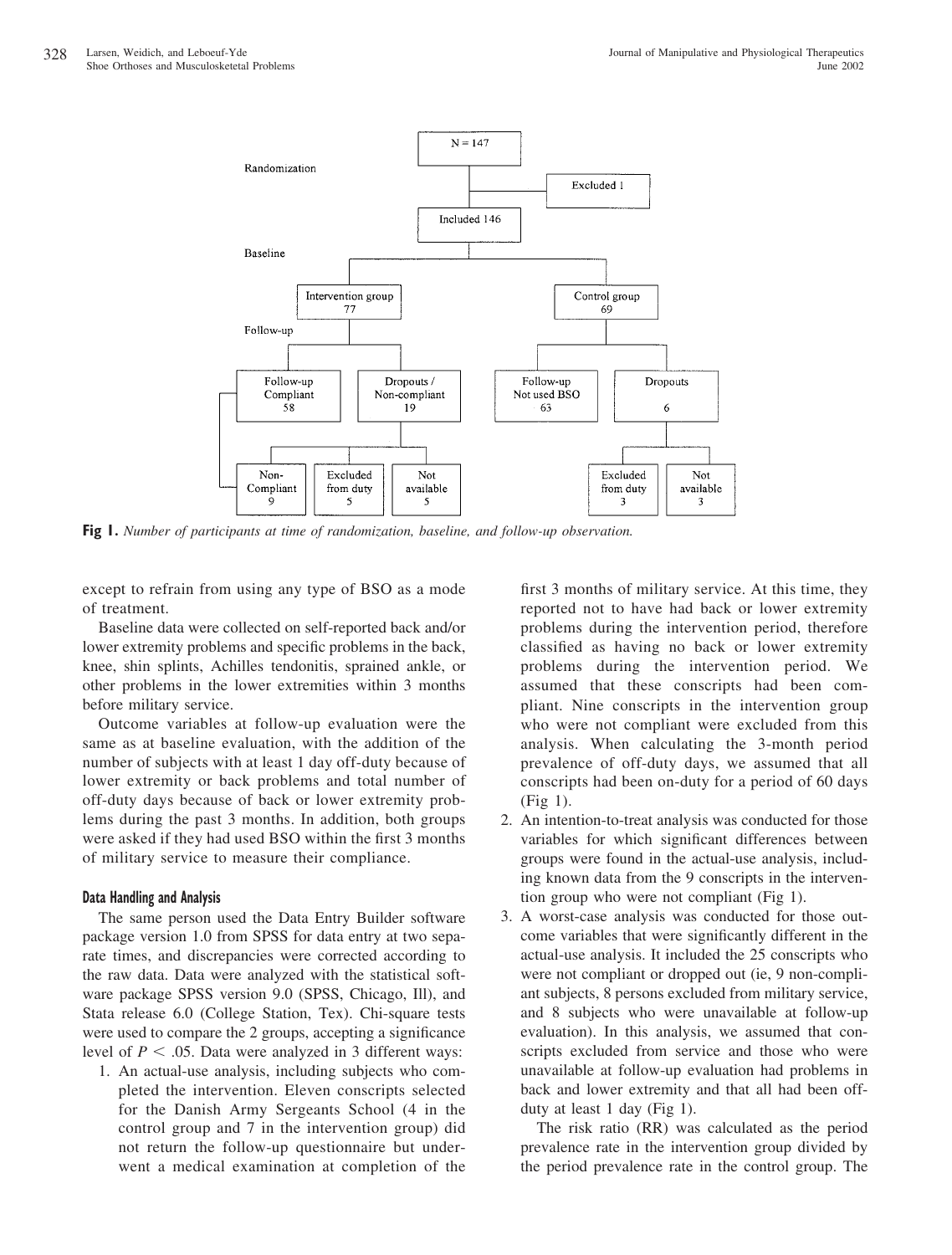

**Fig 1.** *Number of participants at time of randomization, baseline, and follow-up observation.*

except to refrain from using any type of BSO as a mode of treatment.

Baseline data were collected on self-reported back and/or lower extremity problems and specific problems in the back, knee, shin splints, Achilles tendonitis, sprained ankle, or other problems in the lower extremities within 3 months before military service.

Outcome variables at follow-up evaluation were the same as at baseline evaluation, with the addition of the number of subjects with at least 1 day off-duty because of lower extremity or back problems and total number of off-duty days because of back or lower extremity problems during the past 3 months. In addition, both groups were asked if they had used BSO within the first 3 months of military service to measure their compliance.

# **Data Handling and Analysis**

The same person used the Data Entry Builder software package version 1.0 from SPSS for data entry at two separate times, and discrepancies were corrected according to the raw data. Data were analyzed with the statistical software package SPSS version 9.0 (SPSS, Chicago, Ill), and Stata release 6.0 (College Station, Tex). Chi-square tests were used to compare the 2 groups, accepting a significance level of  $P < .05$ . Data were analyzed in 3 different ways:

1. An actual-use analysis, including subjects who completed the intervention. Eleven conscripts selected for the Danish Army Sergeants School (4 in the control group and 7 in the intervention group) did not return the follow-up questionnaire but underwent a medical examination at completion of the first 3 months of military service. At this time, they reported not to have had back or lower extremity problems during the intervention period, therefore classified as having no back or lower extremity problems during the intervention period. We assumed that these conscripts had been compliant. Nine conscripts in the intervention group who were not compliant were excluded from this analysis. When calculating the 3-month period prevalence of off-duty days, we assumed that all conscripts had been on-duty for a period of 60 days (Fig 1).

- 2. An intention-to-treat analysis was conducted for those variables for which significant differences between groups were found in the actual-use analysis, including known data from the 9 conscripts in the intervention group who were not compliant (Fig 1).
- 3. A worst-case analysis was conducted for those outcome variables that were significantly different in the actual-use analysis. It included the 25 conscripts who were not compliant or dropped out (ie, 9 non-compliant subjects, 8 persons excluded from military service, and 8 subjects who were unavailable at follow-up evaluation). In this analysis, we assumed that conscripts excluded from service and those who were unavailable at follow-up evaluation had problems in back and lower extremity and that all had been offduty at least 1 day (Fig 1).

The risk ratio (RR) was calculated as the period prevalence rate in the intervention group divided by the period prevalence rate in the control group. The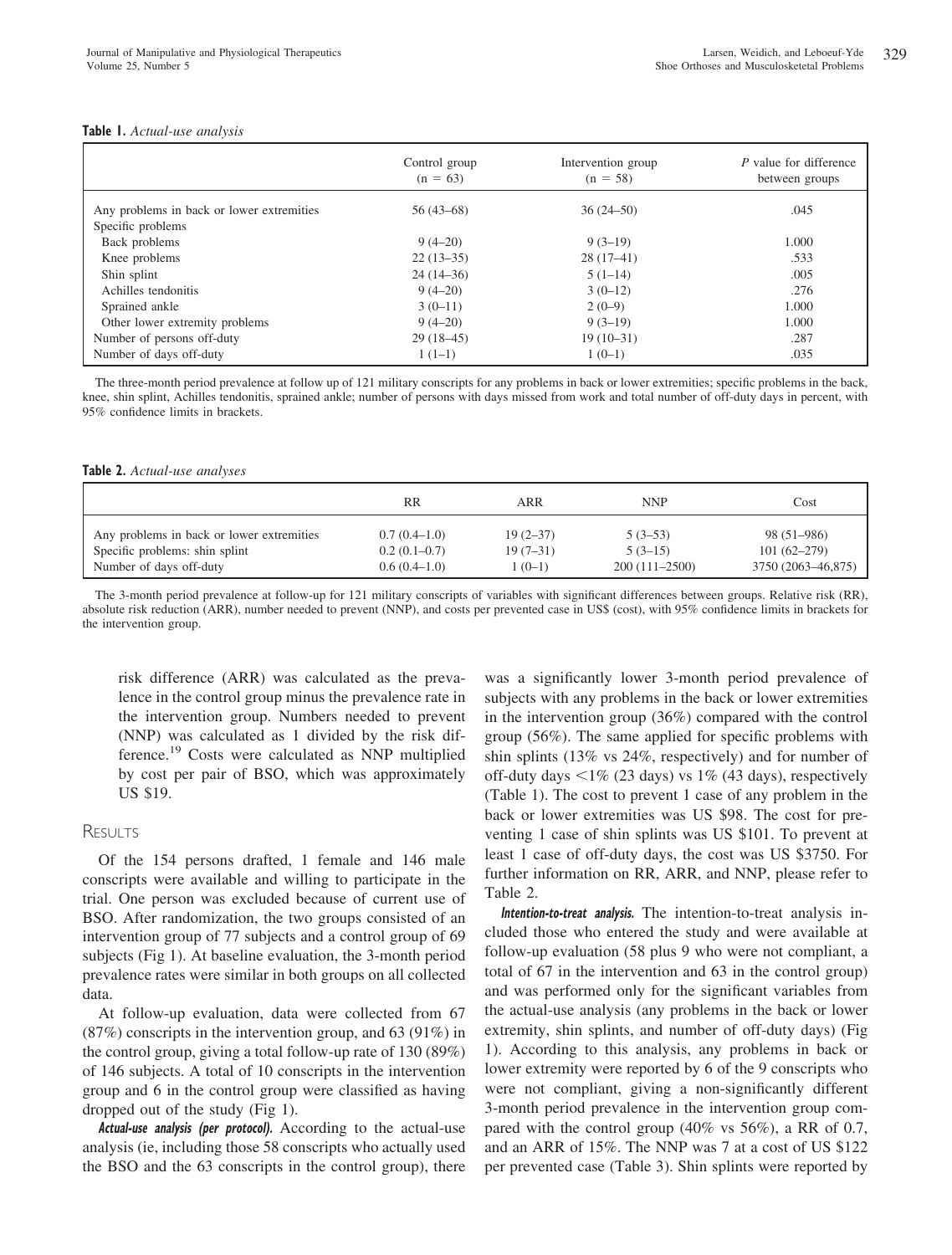#### **Table 1.** *Actual-use analysis*

|                                                                | Control group<br>$(n = 63)$ | Intervention group<br>$(n = 58)$ | P value for difference<br>between groups |
|----------------------------------------------------------------|-----------------------------|----------------------------------|------------------------------------------|
| Any problems in back or lower extremities<br>Specific problems | $56(43-68)$                 | $36(24 - 50)$                    | .045                                     |
| Back problems                                                  | $9(4-20)$                   | $9(3-19)$                        | 1.000                                    |
| Knee problems                                                  | $22(13-35)$                 | $28(17-41)$                      | .533                                     |
| Shin splint                                                    | $24(14-36)$                 | $5(1-14)$                        | .005                                     |
| Achilles tendonitis                                            | $9(4-20)$                   | $3(0-12)$                        | .276                                     |
| Sprained ankle                                                 | $3(0-11)$                   | $2(0-9)$                         | 1.000                                    |
| Other lower extremity problems                                 | $9(4-20)$                   | $9(3-19)$                        | 1.000                                    |
| Number of persons off-duty                                     | $29(18-45)$                 | $19(10-31)$                      | .287                                     |
| Number of days off-duty                                        | $1(1-1)$                    | $1(0-1)$                         | .035                                     |

The three-month period prevalence at follow up of 121 military conscripts for any problems in back or lower extremities; specific problems in the back, knee, shin splint, Achilles tendonitis, sprained ankle; number of persons with days missed from work and total number of off-duty days in percent, with 95% confidence limits in brackets.

#### **Table 2.** *Actual-use analyses*

|                                           | RR             | ARR        | <b>NNP</b>        | Cost               |
|-------------------------------------------|----------------|------------|-------------------|--------------------|
| Any problems in back or lower extremities | $0.7(0.4-1.0)$ | $19(2-37)$ | $5(3-53)$         | 98 (51–986)        |
| Specific problems: shin splint            | $0.2(0.1-0.7)$ | $19(7-31)$ | $5(3-15)$         | $101(62 - 279)$    |
| Number of days off-duty                   | $0.6(0.4-1.0)$ | $1(0-1)$   | $200(111 - 2500)$ | 3750 (2063-46,875) |

The 3-month period prevalence at follow-up for 121 military conscripts of variables with significant differences between groups. Relative risk (RR), absolute risk reduction (ARR), number needed to prevent (NNP), and costs per prevented case in US\$ (cost), with 95% confidence limits in brackets for the intervention group.

risk difference (ARR) was calculated as the prevalence in the control group minus the prevalence rate in the intervention group. Numbers needed to prevent (NNP) was calculated as 1 divided by the risk difference.19 Costs were calculated as NNP multiplied by cost per pair of BSO, which was approximately US \$19.

# **RESULTS**

Of the 154 persons drafted, 1 female and 146 male conscripts were available and willing to participate in the trial. One person was excluded because of current use of BSO. After randomization, the two groups consisted of an intervention group of 77 subjects and a control group of 69 subjects (Fig 1). At baseline evaluation, the 3-month period prevalence rates were similar in both groups on all collected data.

At follow-up evaluation, data were collected from 67 (87%) conscripts in the intervention group, and 63 (91%) in the control group, giving a total follow-up rate of 130 (89%) of 146 subjects. A total of 10 conscripts in the intervention group and 6 in the control group were classified as having dropped out of the study (Fig 1).

**Actual-use analysis (per protocol).** According to the actual-use analysis (ie, including those 58 conscripts who actually used the BSO and the 63 conscripts in the control group), there

was a significantly lower 3-month period prevalence of subjects with any problems in the back or lower extremities in the intervention group (36%) compared with the control group (56%). The same applied for specific problems with shin splints (13% vs 24%, respectively) and for number of off-duty days  $\langle 1\% (23 \text{ days})$  vs  $1\% (43 \text{ days})$ , respectively (Table 1). The cost to prevent 1 case of any problem in the back or lower extremities was US \$98. The cost for preventing 1 case of shin splints was US \$101. To prevent at least 1 case of off-duty days, the cost was US \$3750. For further information on RR, ARR, and NNP, please refer to Table 2.

**Intention-to-treat analysis.** The intention-to-treat analysis included those who entered the study and were available at follow-up evaluation (58 plus 9 who were not compliant, a total of 67 in the intervention and 63 in the control group) and was performed only for the significant variables from the actual-use analysis (any problems in the back or lower extremity, shin splints, and number of off-duty days) (Fig 1). According to this analysis, any problems in back or lower extremity were reported by 6 of the 9 conscripts who were not compliant, giving a non-significantly different 3-month period prevalence in the intervention group compared with the control group (40% vs 56%), a RR of 0.7, and an ARR of 15%. The NNP was 7 at a cost of US \$122 per prevented case (Table 3). Shin splints were reported by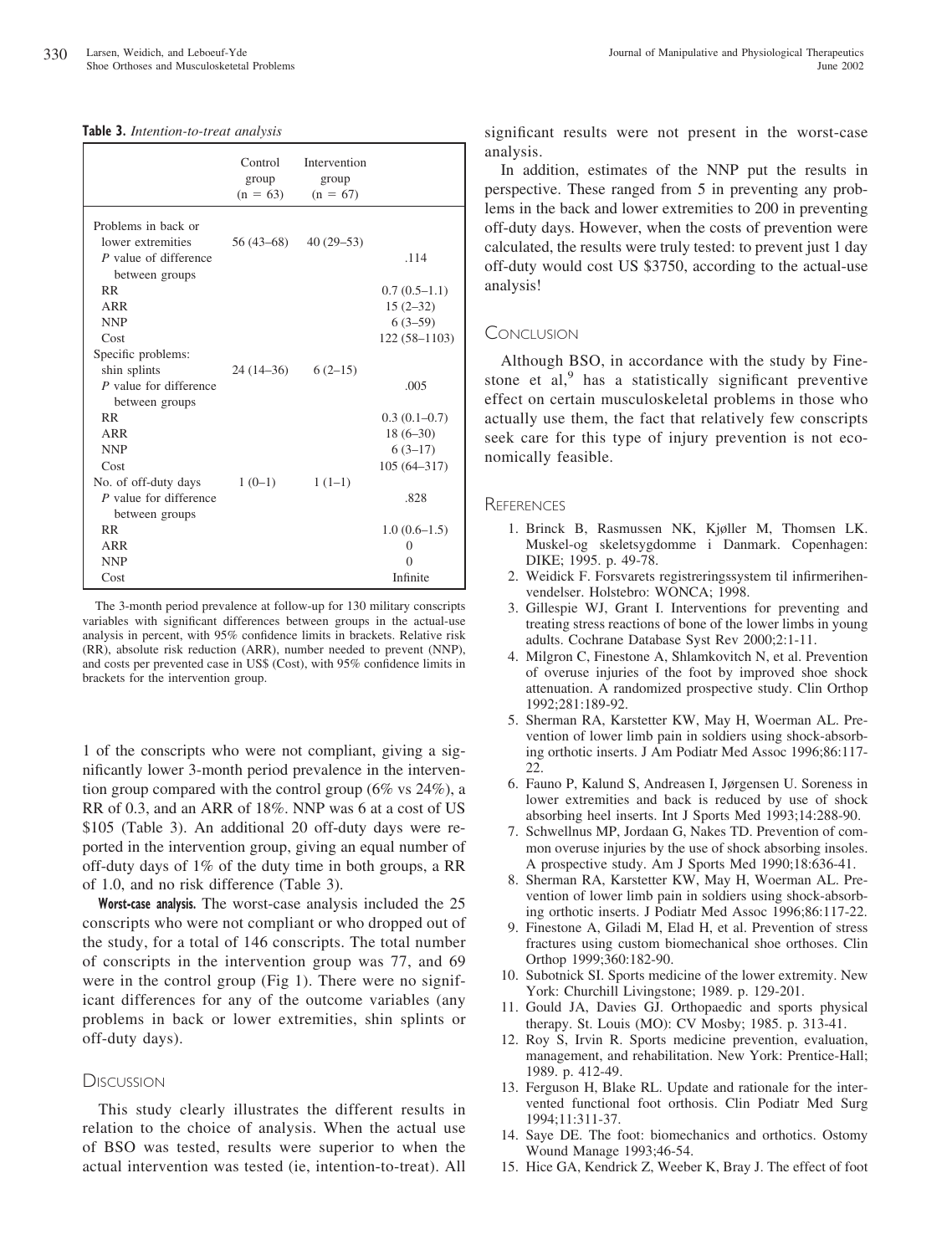|  |  | Table 3. Intention-to-treat analysis |  |
|--|--|--------------------------------------|--|
|--|--|--------------------------------------|--|

|                                          | Control<br>group<br>$(n = 63)$ | Intervention<br>group<br>$(n = 67)$ |                 |
|------------------------------------------|--------------------------------|-------------------------------------|-----------------|
| Problems in back or                      |                                |                                     |                 |
| lower extremities                        | 56 (43–68)                     | $40(29 - 53)$                       |                 |
| P value of difference<br>between groups  |                                |                                     | .114            |
| <b>RR</b>                                |                                |                                     | $0.7(0.5-1.1)$  |
| ARR                                      |                                |                                     | $15(2-32)$      |
| <b>NNP</b>                               |                                |                                     | $6(3-59)$       |
| Cost                                     |                                |                                     | $122(58-1103)$  |
| Specific problems:                       |                                |                                     |                 |
| shin splints                             | $24(14-36)$ 6(2-15)            |                                     |                 |
| P value for difference                   |                                |                                     | .005            |
| between groups<br><b>RR</b>              |                                |                                     |                 |
|                                          |                                |                                     | $0.3(0.1-0.7)$  |
| ARR                                      |                                |                                     | $18(6-30)$      |
| <b>NNP</b>                               |                                |                                     | $6(3-17)$       |
| Cost                                     |                                |                                     | $105(64 - 317)$ |
| No. of off-duty days                     | $1(0-1)$                       | $1(1-1)$                            |                 |
| P value for difference<br>between groups |                                |                                     | .828            |
| <b>RR</b>                                |                                |                                     | $1.0(0.6-1.5)$  |
| ARR                                      |                                |                                     | 0               |
| <b>NNP</b>                               |                                |                                     | $\Omega$        |
| Cost                                     |                                |                                     | Infinite        |

The 3-month period prevalence at follow-up for 130 military conscripts variables with significant differences between groups in the actual-use analysis in percent, with 95% confidence limits in brackets. Relative risk (RR), absolute risk reduction (ARR), number needed to prevent (NNP), and costs per prevented case in US\$ (Cost), with 95% confidence limits in brackets for the intervention group.

1 of the conscripts who were not compliant, giving a significantly lower 3-month period prevalence in the intervention group compared with the control group ( $6\%$  vs  $24\%$ ), a RR of 0.3, and an ARR of 18%. NNP was 6 at a cost of US \$105 (Table 3). An additional 20 off-duty days were reported in the intervention group, giving an equal number of off-duty days of 1% of the duty time in both groups, a RR of 1.0, and no risk difference (Table 3).

**Worst-case analysis.** The worst-case analysis included the 25 conscripts who were not compliant or who dropped out of the study, for a total of 146 conscripts. The total number of conscripts in the intervention group was 77, and 69 were in the control group (Fig 1). There were no significant differences for any of the outcome variables (any problems in back or lower extremities, shin splints or off-duty days).

## **DISCUSSION**

This study clearly illustrates the different results in relation to the choice of analysis. When the actual use of BSO was tested, results were superior to when the actual intervention was tested (ie, intention-to-treat). All significant results were not present in the worst-case analysis.

In addition, estimates of the NNP put the results in perspective. These ranged from 5 in preventing any problems in the back and lower extremities to 200 in preventing off-duty days. However, when the costs of prevention were calculated, the results were truly tested: to prevent just 1 day off-duty would cost US \$3750, according to the actual-use analysis!

## CONCLUSION

Although BSO, in accordance with the study by Finestone et al, $9$  has a statistically significant preventive effect on certain musculoskeletal problems in those who actually use them, the fact that relatively few conscripts seek care for this type of injury prevention is not economically feasible.

#### **REFERENCES**

- 1. Brinck B, Rasmussen NK, Kjøller M, Thomsen LK. Muskel-og skeletsygdomme i Danmark. Copenhagen: DIKE; 1995. p. 49-78.
- 2. Weidick F. Forsvarets registreringssystem til infirmerihenvendelser. Holstebro: WONCA; 1998.
- 3. Gillespie WJ, Grant I. Interventions for preventing and treating stress reactions of bone of the lower limbs in young adults. Cochrane Database Syst Rev 2000;2:1-11.
- 4. Milgron C, Finestone A, Shlamkovitch N, et al. Prevention of overuse injuries of the foot by improved shoe shock attenuation. A randomized prospective study. Clin Orthop 1992;281:189-92.
- 5. Sherman RA, Karstetter KW, May H, Woerman AL. Prevention of lower limb pain in soldiers using shock-absorbing orthotic inserts. J Am Podiatr Med Assoc 1996;86:117- 22.
- 6. Fauno P, Kalund S, Andreasen I, Jørgensen U. Soreness in lower extremities and back is reduced by use of shock absorbing heel inserts. Int J Sports Med 1993;14:288-90.
- 7. Schwellnus MP, Jordaan G, Nakes TD. Prevention of common overuse injuries by the use of shock absorbing insoles. A prospective study. Am J Sports Med 1990;18:636-41.
- 8. Sherman RA, Karstetter KW, May H, Woerman AL. Prevention of lower limb pain in soldiers using shock-absorbing orthotic inserts. J Podiatr Med Assoc 1996;86:117-22.
- 9. Finestone A, Giladi M, Elad H, et al. Prevention of stress fractures using custom biomechanical shoe orthoses. Clin Orthop 1999;360:182-90.
- 10. Subotnick SI. Sports medicine of the lower extremity. New York: Churchill Livingstone; 1989. p. 129-201.
- 11. Gould JA, Davies GJ. Orthopaedic and sports physical therapy. St. Louis (MO): CV Mosby; 1985. p. 313-41.
- 12. Roy S, Irvin R. Sports medicine prevention, evaluation, management, and rehabilitation. New York: Prentice-Hall; 1989. p. 412-49.
- 13. Ferguson H, Blake RL. Update and rationale for the intervented functional foot orthosis. Clin Podiatr Med Surg 1994;11:311-37.
- 14. Saye DE. The foot: biomechanics and orthotics. Ostomy Wound Manage 1993;46-54.
- 15. Hice GA, Kendrick Z, Weeber K, Bray J. The effect of foot